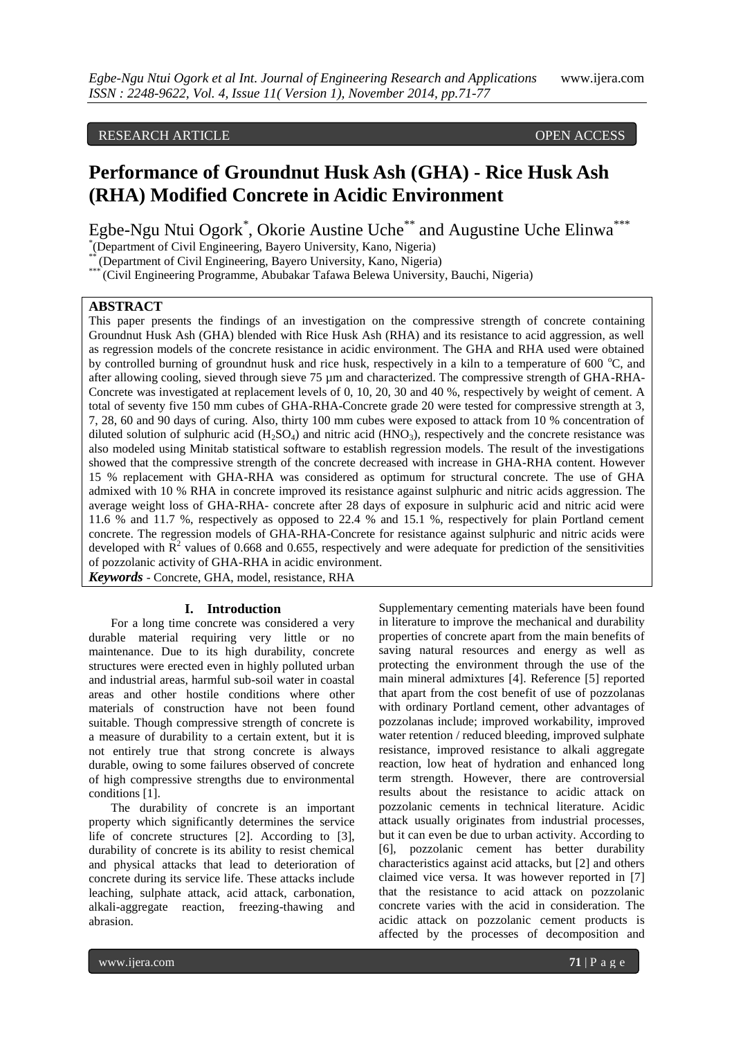## RESEARCH ARTICLE **ARTICLE** AND **CONSIDERED ACCESS** OPEN ACCESS OPEN ACCESS

# **Performance of Groundnut Husk Ash (GHA) - Rice Husk Ash (RHA) Modified Concrete in Acidic Environment**

Egbe-Ngu Ntui Ogork\*, Okorie Austine Uche\*\* and Augustine Uche Elinwa\*\*\*

\* (Department of Civil Engineering, Bayero University, Kano, Nigeria)

(Department of Civil Engineering, Bayero University, Kano, Nigeria)

\* (Civil Engineering Programme, Abubakar Tafawa Belewa University, Bauchi, Nigeria)

# **ABSTRACT**

This paper presents the findings of an investigation on the compressive strength of concrete containing Groundnut Husk Ash (GHA) blended with Rice Husk Ash (RHA) and its resistance to acid aggression, as well as regression models of the concrete resistance in acidic environment. The GHA and RHA used were obtained by controlled burning of groundnut husk and rice husk, respectively in a kiln to a temperature of 600  $^{\circ}$ C, and after allowing cooling, sieved through sieve 75 µm and characterized. The compressive strength of GHA-RHA-Concrete was investigated at replacement levels of 0, 10, 20, 30 and 40 %, respectively by weight of cement. A total of seventy five 150 mm cubes of GHA-RHA-Concrete grade 20 were tested for compressive strength at 3, 7, 28, 60 and 90 days of curing. Also, thirty 100 mm cubes were exposed to attack from 10 % concentration of diluted solution of sulphuric acid  $(H_2SO_4)$  and nitric acid  $(HNO_3)$ , respectively and the concrete resistance was also modeled using Minitab statistical software to establish regression models. The result of the investigations showed that the compressive strength of the concrete decreased with increase in GHA-RHA content. However 15 % replacement with GHA-RHA was considered as optimum for structural concrete. The use of GHA admixed with 10 % RHA in concrete improved its resistance against sulphuric and nitric acids aggression. The average weight loss of GHA-RHA- concrete after 28 days of exposure in sulphuric acid and nitric acid were 11.6 % and 11.7 %, respectively as opposed to 22.4 % and 15.1 %, respectively for plain Portland cement concrete. The regression models of GHA-RHA-Concrete for resistance against sulphuric and nitric acids were developed with  $\mathbb{R}^2$  values of 0.668 and 0.655, respectively and were adequate for prediction of the sensitivities of pozzolanic activity of GHA-RHA in acidic environment.

*Keywords* - Concrete, GHA, model, resistance, RHA

#### **I. Introduction**

For a long time concrete was considered a very durable material requiring very little or no maintenance. Due to its high durability, concrete structures were erected even in highly polluted urban and industrial areas, harmful sub-soil water in coastal areas and other hostile conditions where other materials of construction have not been found suitable. Though compressive strength of concrete is a measure of durability to a certain extent, but it is not entirely true that strong concrete is always durable, owing to some failures observed of concrete of high compressive strengths due to environmental conditions [1].

The durability of concrete is an important property which significantly determines the service life of concrete structures [2]. According to [3], durability of concrete is its ability to resist chemical and physical attacks that lead to deterioration of concrete during its service life. These attacks include leaching, sulphate attack, acid attack, carbonation, alkali-aggregate reaction, freezing-thawing and abrasion.

Supplementary cementing materials have been found in literature to improve the mechanical and durability properties of concrete apart from the main benefits of saving natural resources and energy as well as protecting the environment through the use of the main mineral admixtures [4]. Reference [5] reported that apart from the cost benefit of use of pozzolanas with ordinary Portland cement, other advantages of pozzolanas include; improved workability, improved water retention / reduced bleeding, improved sulphate resistance, improved resistance to alkali aggregate reaction, low heat of hydration and enhanced long term strength. However, there are controversial results about the resistance to acidic attack on pozzolanic cements in technical literature. Acidic attack usually originates from industrial processes, but it can even be due to urban activity. According to [6], pozzolanic cement has better durability characteristics against acid attacks, but [2] and others claimed vice versa. It was however reported in [7] that the resistance to acid attack on pozzolanic concrete varies with the acid in consideration. The acidic attack on pozzolanic cement products is affected by the processes of decomposition and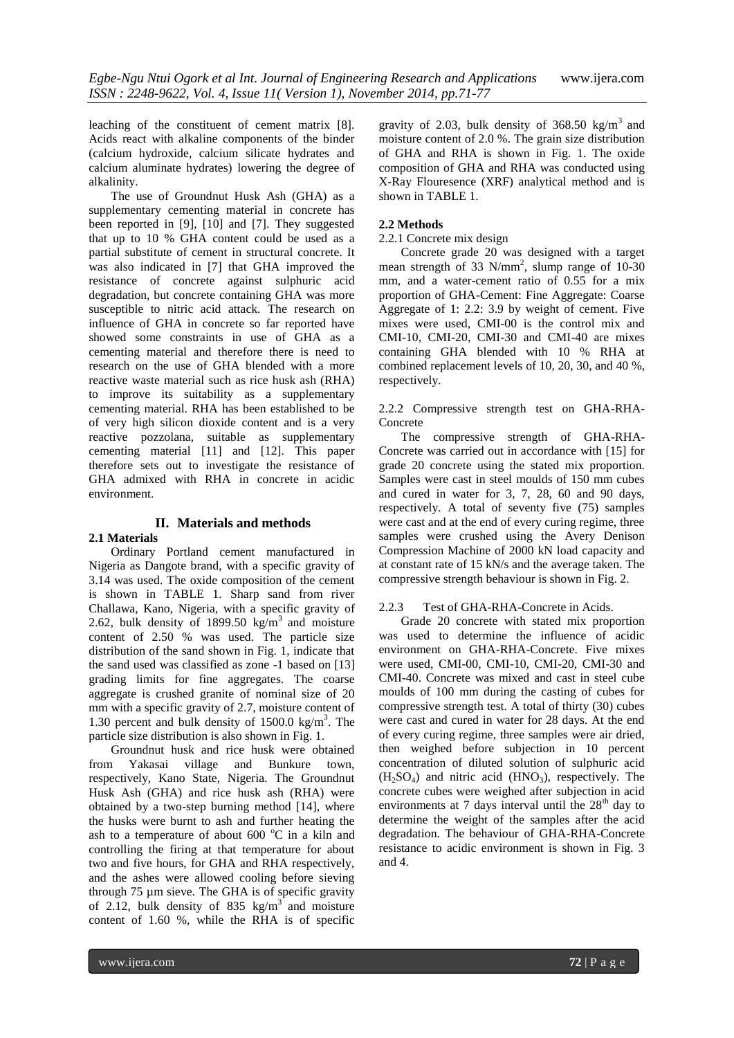leaching of the constituent of cement matrix [8]. Acids react with alkaline components of the binder (calcium hydroxide, calcium silicate hydrates and calcium aluminate hydrates) lowering the degree of alkalinity.

The use of Groundnut Husk Ash (GHA) as a supplementary cementing material in concrete has been reported in [9], [10] and [7]. They suggested that up to 10 % GHA content could be used as a partial substitute of cement in structural concrete. It was also indicated in [7] that GHA improved the resistance of concrete against sulphuric acid degradation, but concrete containing GHA was more susceptible to nitric acid attack. The research on influence of GHA in concrete so far reported have showed some constraints in use of GHA as a cementing material and therefore there is need to research on the use of GHA blended with a more reactive waste material such as rice husk ash (RHA) to improve its suitability as a supplementary cementing material. RHA has been established to be of very high silicon dioxide content and is a very reactive pozzolana, suitable as supplementary cementing material [11] and [12]. This paper therefore sets out to investigate the resistance of GHA admixed with RHA in concrete in acidic environment.

## **II. Materials and methods**

## **2.1 Materials**

Ordinary Portland cement manufactured in Nigeria as Dangote brand, with a specific gravity of 3.14 was used. The oxide composition of the cement is shown in TABLE 1. Sharp sand from river Challawa, Kano, Nigeria, with a specific gravity of 2.62, bulk density of 1899.50 kg/m<sup>3</sup> and moisture content of 2.50 % was used. The particle size distribution of the sand shown in Fig. 1, indicate that the sand used was classified as zone -1 based on [13] grading limits for fine aggregates. The coarse aggregate is crushed granite of nominal size of 20 mm with a specific gravity of 2.7, moisture content of 1.30 percent and bulk density of  $1500.0 \text{ kg/m}^3$ . The particle size distribution is also shown in Fig. 1.

Groundnut husk and rice husk were obtained from Yakasai village and Bunkure town, respectively, Kano State, Nigeria. The Groundnut Husk Ash (GHA) and rice husk ash (RHA) were obtained by a two-step burning method [14], where the husks were burnt to ash and further heating the ash to a temperature of about  $600^{\circ}$ C in a kiln and controlling the firing at that temperature for about two and five hours, for GHA and RHA respectively, and the ashes were allowed cooling before sieving through 75 µm sieve. The GHA is of specific gravity of 2.12, bulk density of 835 kg/m<sup>3</sup> and moisture content of 1.60 %, while the RHA is of specific

gravity of 2.03, bulk density of 368.50 kg/m<sup>3</sup> and moisture content of 2.0 %. The grain size distribution of GHA and RHA is shown in Fig. 1. The oxide composition of GHA and RHA was conducted using X-Ray Flouresence (XRF) analytical method and is shown in TABLE 1.

## **2.2 Methods**

#### 2.2.1 Concrete mix design

Concrete grade 20 was designed with a target mean strength of 33 N/mm<sup>2</sup>, slump range of 10-30 mm, and a water-cement ratio of 0.55 for a mix proportion of GHA-Cement: Fine Aggregate: Coarse Aggregate of 1: 2.2: 3.9 by weight of cement. Five mixes were used, CMI-00 is the control mix and CMI-10, CMI-20, CMI-30 and CMI-40 are mixes containing GHA blended with 10 % RHA at combined replacement levels of 10, 20, 30, and 40 %, respectively.

#### 2.2.2 Compressive strength test on GHA-RHA-Concrete

The compressive strength of GHA-RHA-Concrete was carried out in accordance with [15] for grade 20 concrete using the stated mix proportion. Samples were cast in steel moulds of 150 mm cubes and cured in water for 3, 7, 28, 60 and 90 days, respectively. A total of seventy five (75) samples were cast and at the end of every curing regime, three samples were crushed using the Avery Denison Compression Machine of 2000 kN load capacity and at constant rate of 15 kN/s and the average taken. The compressive strength behaviour is shown in Fig. 2.

## 2.2.3 Test of GHA-RHA-Concrete in Acids.

Grade 20 concrete with stated mix proportion was used to determine the influence of acidic environment on GHA-RHA-Concrete. Five mixes were used, CMI-00, CMI-10, CMI-20, CMI-30 and CMI-40. Concrete was mixed and cast in steel cube moulds of 100 mm during the casting of cubes for compressive strength test. A total of thirty (30) cubes were cast and cured in water for 28 days. At the end of every curing regime, three samples were air dried, then weighed before subjection in 10 percent concentration of diluted solution of sulphuric acid  $(H<sub>2</sub>SO<sub>4</sub>)$  and nitric acid  $(HNO<sub>3</sub>)$ , respectively. The concrete cubes were weighed after subjection in acid environments at 7 days interval until the  $28<sup>th</sup>$  day to determine the weight of the samples after the acid degradation. The behaviour of GHA-RHA-Concrete resistance to acidic environment is shown in Fig. 3 and 4.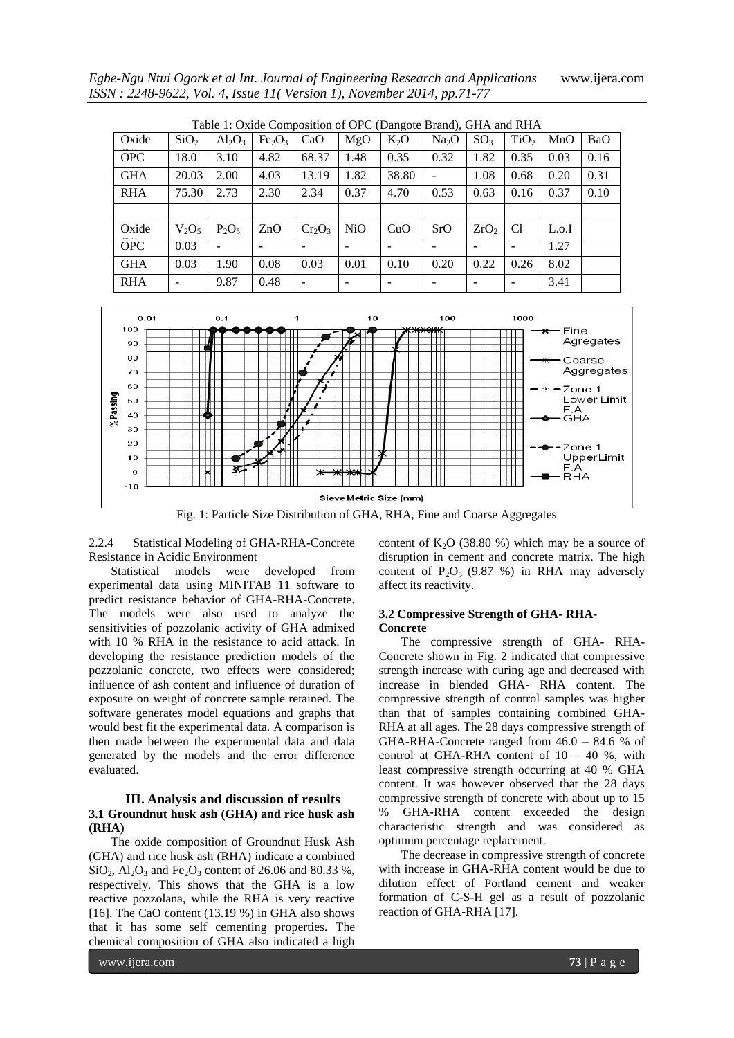*Egbe-Ngu Ntui Ogork et al Int. Journal of Engineering Research and Applications* www.ijera.com *ISSN : 2248-9622, Vol. 4, Issue 11( Version 1), November 2014, pp.71-77*

| Table 1: Oxide Composition of OPC (Dangote Brand), GHA and RHA |                  |           |                                |           |      |        |                   |                  |                  |       |            |
|----------------------------------------------------------------|------------------|-----------|--------------------------------|-----------|------|--------|-------------------|------------------|------------------|-------|------------|
| Oxide                                                          | SiO <sub>2</sub> | $Al_2O_3$ | Fe <sub>2</sub> O <sub>3</sub> | CaO       | MgO  | $K_2O$ | Na <sub>2</sub> O | SO <sub>3</sub>  | TiO <sub>2</sub> | MnO   | <b>BaO</b> |
| <b>OPC</b>                                                     | 18.0             | 3.10      | 4.82                           | 68.37     | 1.48 | 0.35   | 0.32              | 1.82             | 0.35             | 0.03  | 0.16       |
| <b>GHA</b>                                                     | 20.03            | 2.00      | 4.03                           | 13.19     | 1.82 | 38.80  |                   | 1.08             | 0.68             | 0.20  | 0.31       |
| <b>RHA</b>                                                     | 75.30            | 2.73      | 2.30                           | 2.34      | 0.37 | 4.70   | 0.53              | 0.63             | 0.16             | 0.37  | 0.10       |
|                                                                |                  |           |                                |           |      |        |                   |                  |                  |       |            |
| Oxide                                                          | $V_2O_5$         | $P_2O_5$  | ZnO                            | $Cr_2O_3$ | NiO  | CuO    | SrO               | ZrO <sub>2</sub> | C1               | L.o.I |            |
| <b>OPC</b>                                                     | 0.03             |           |                                |           |      |        |                   |                  |                  | 1.27  |            |
| <b>GHA</b>                                                     | 0.03             | 1.90      | 0.08                           | 0.03      | 0.01 | 0.10   | 0.20              | 0.22             | 0.26             | 8.02  |            |
| <b>RHA</b>                                                     |                  | 9.87      | 0.48                           |           | -    |        |                   |                  |                  | 3.41  |            |



Fig. 1: Particle Size Distribution of GHA, RHA, Fine and Coarse Aggregates

2.2.4 Statistical Modeling of GHA-RHA-Concrete Resistance in Acidic Environment

Statistical models were developed from experimental data using MINITAB 11 software to predict resistance behavior of GHA-RHA-Concrete. The models were also used to analyze the sensitivities of pozzolanic activity of GHA admixed with 10 % RHA in the resistance to acid attack. In developing the resistance prediction models of the pozzolanic concrete, two effects were considered; influence of ash content and influence of duration of exposure on weight of concrete sample retained. The software generates model equations and graphs that would best fit the experimental data. A comparison is then made between the experimental data and data generated by the models and the error difference evaluated.

#### **III. Analysis and discussion of results 3.1 Groundnut husk ash (GHA) and rice husk ash (RHA)**

The oxide composition of Groundnut Husk Ash (GHA) and rice husk ash (RHA) indicate a combined  $SiO<sub>2</sub>$ ,  $Al<sub>2</sub>O<sub>3</sub>$  and Fe<sub>2</sub>O<sub>3</sub> content of 26.06 and 80.33 %, respectively. This shows that the GHA is a low reactive pozzolana, while the RHA is very reactive [16]. The CaO content (13.19 %) in GHA also shows that it has some self cementing properties. The chemical composition of GHA also indicated a high

content of  $K_2O$  (38.80 %) which may be a source of disruption in cement and concrete matrix. The high content of  $P_2O_5$  (9.87 %) in RHA may adversely affect its reactivity.

#### **3.2 Compressive Strength of GHA- RHA-Concrete**

The compressive strength of GHA- RHA-Concrete shown in Fig. 2 indicated that compressive strength increase with curing age and decreased with increase in blended GHA- RHA content. The compressive strength of control samples was higher than that of samples containing combined GHA-RHA at all ages. The 28 days compressive strength of GHA-RHA-Concrete ranged from 46.0 – 84.6 % of control at GHA-RHA content of  $10 - 40$  %, with least compressive strength occurring at 40 % GHA content. It was however observed that the 28 days compressive strength of concrete with about up to 15 % GHA-RHA content exceeded the design characteristic strength and was considered as optimum percentage replacement.

The decrease in compressive strength of concrete with increase in GHA-RHA content would be due to dilution effect of Portland cement and weaker formation of C-S-H gel as a result of pozzolanic reaction of GHA-RHA [17].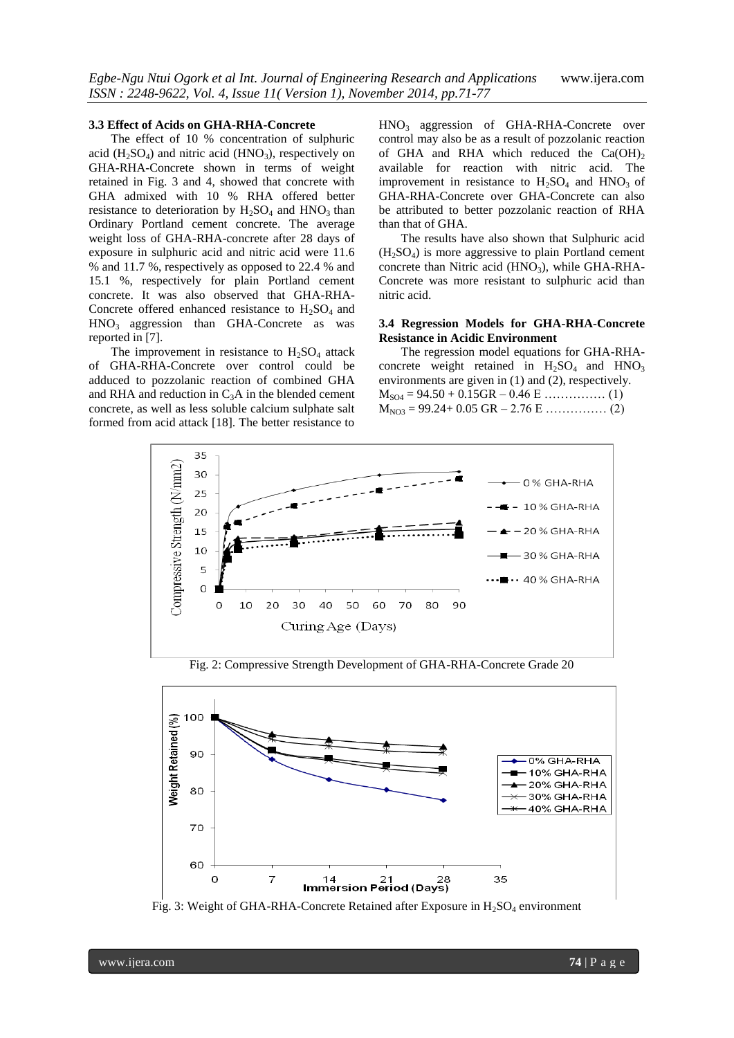#### **3.3 Effect of Acids on GHA-RHA-Concrete**

The effect of 10 % concentration of sulphuric acid ( $H_2SO_4$ ) and nitric acid ( $HNO_3$ ), respectively on GHA-RHA-Concrete shown in terms of weight retained in Fig. 3 and 4, showed that concrete with GHA admixed with 10 % RHA offered better resistance to deterioration by  $H_2SO_4$  and  $HNO_3$  than Ordinary Portland cement concrete. The average weight loss of GHA-RHA-concrete after 28 days of exposure in sulphuric acid and nitric acid were 11.6 % and 11.7 %, respectively as opposed to 22.4 % and 15.1 %, respectively for plain Portland cement concrete. It was also observed that GHA-RHA-Concrete offered enhanced resistance to  $H<sub>2</sub>SO<sub>4</sub>$  and  $HNO<sub>3</sub>$  aggression than GHA-Concrete as was reported in [7].

The improvement in resistance to  $H_2SO_4$  attack of GHA-RHA-Concrete over control could be adduced to pozzolanic reaction of combined GHA and RHA and reduction in  $C_3A$  in the blended cement concrete, as well as less soluble calcium sulphate salt formed from acid attack [18]. The better resistance to

HNO3 aggression of GHA-RHA-Concrete over control may also be as a result of pozzolanic reaction of GHA and RHA which reduced the  $Ca(OH)_2$ available for reaction with nitric acid. The improvement in resistance to  $H_2SO_4$  and  $HNO_3$  of GHA-RHA-Concrete over GHA-Concrete can also be attributed to better pozzolanic reaction of RHA than that of GHA.

The results have also shown that Sulphuric acid  $(H_2SO_4)$  is more aggressive to plain Portland cement concrete than Nitric acid  $(HNO<sub>3</sub>)$ , while GHA-RHA-Concrete was more resistant to sulphuric acid than nitric acid.

#### **3.4 Regression Models for GHA-RHA-Concrete Resistance in Acidic Environment**

The regression model equations for GHA-RHAconcrete weight retained in  $H_2SO_4$  and  $HNO_3$ environments are given in (1) and (2), respectively. MSO4 = 94.50 + 0.15GR – 0.46 E …………… (1) MNO3 = 99.24+ 0.05 GR – 2.76 E …………… (2)

35



100 Neight Retained (%) 90 0% GHA-RHA  $10\%$  GHA-RHA 20% GHA-RHA 80 30% GHA-RHA 40% GHA-RHA 70 60

Fig. 2: Compressive Strength Development of GHA-RHA-Concrete Grade 20

Fig. 3: Weight of GHA-RHA-Concrete Retained after Exposure in  $H_2SO_4$  environment

<sup>14</sup> 21<br>**Immersion Period (Days)** 

 $\overline{7}$ 

 $\circ$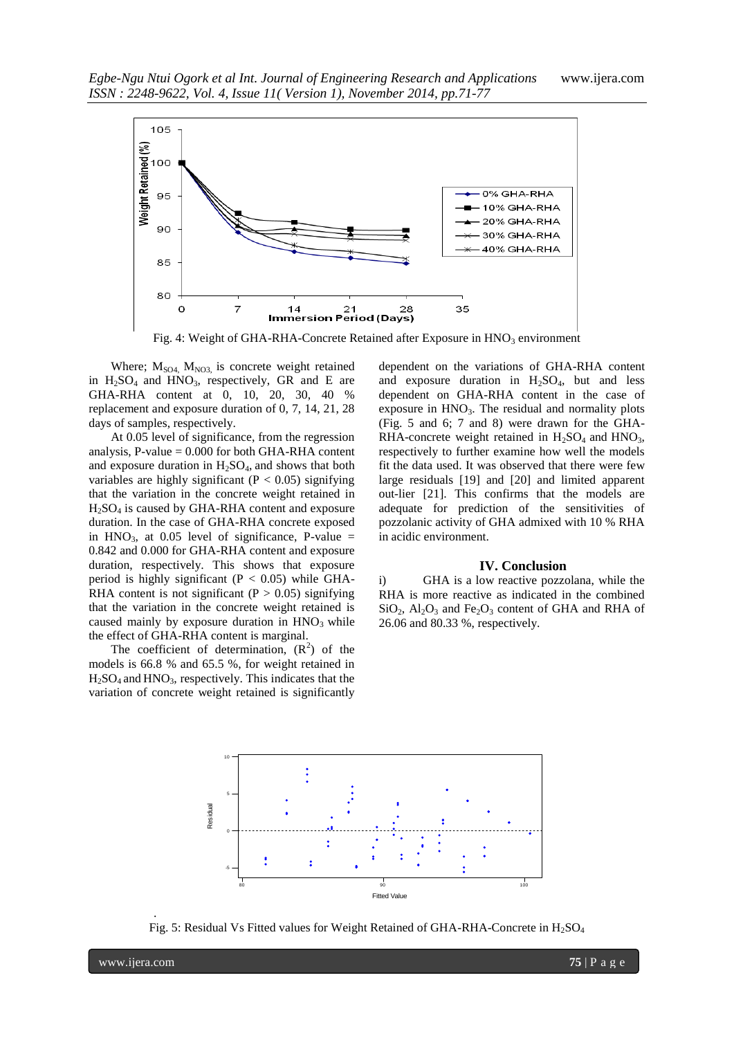

Fig. 4: Weight of GHA-RHA-Concrete Retained after Exposure in HNO<sub>3</sub> environment

Where;  $M<sub>SO4</sub>$ ,  $M<sub>NO3</sub>$ , is concrete weight retained in  $H_2SO_4$  and  $HNO_3$ , respectively, GR and E are GHA-RHA content at 0, 10, 20, 30, 40 % replacement and exposure duration of 0, 7, 14, 21, 28 days of samples, respectively.

At 0.05 level of significance, from the regression analysis, P-value  $= 0.000$  for both GHA-RHA content and exposure duration in  $H_2SO_4$ , and shows that both variables are highly significant ( $P < 0.05$ ) signifying that the variation in the concrete weight retained in  $H_2SO_4$  is caused by GHA-RHA content and exposure duration. In the case of GHA-RHA concrete exposed in HNO<sub>3</sub>, at 0.05 level of significance, P-value  $=$ 0.842 and 0.000 for GHA-RHA content and exposure duration, respectively. This shows that exposure period is highly significant ( $P < 0.05$ ) while GHA-RHA content is not significant ( $P > 0.05$ ) signifying that the variation in the concrete weight retained is caused mainly by exposure duration in  $HNO<sub>3</sub>$  while the effect of GHA-RHA content is marginal.

The coefficient of determination,  $(R^2)$  of the models is 66.8 % and 65.5 %, for weight retained in  $H_2SO_4$  and  $HNO_3$ , respectively. This indicates that the variation of concrete weight retained is significantly

dependent on the variations of GHA-RHA content and exposure duration in  $H_2SO_4$ , but and less dependent on GHA-RHA content in the case of exposure in  $HNO<sub>3</sub>$ . The residual and normality plots (Fig. 5 and 6; 7 and 8) were drawn for the GHA-RHA-concrete weight retained in  $H_2SO_4$  and  $HNO_3$ , respectively to further examine how well the models fit the data used. It was observed that there were few large residuals [19] and [20] and limited apparent out-lier [21]. This confirms that the models are adequate for prediction of the sensitivities of pozzolanic activity of GHA admixed with 10 % RHA in acidic environment.

#### **IV. Conclusion**

i) GHA is a low reactive pozzolana, while the RHA is more reactive as indicated in the combined  $SiO<sub>2</sub>$ ,  $Al<sub>2</sub>O<sub>3</sub>$  and Fe<sub>2</sub>O<sub>3</sub> content of GHA and RHA of 26.06 and 80.33 %, respectively.



Fig. 5: Residual Vs Fitted values for Weight Retained of GHA-RHA-Concrete in H<sub>2</sub>SO<sub>4</sub>

.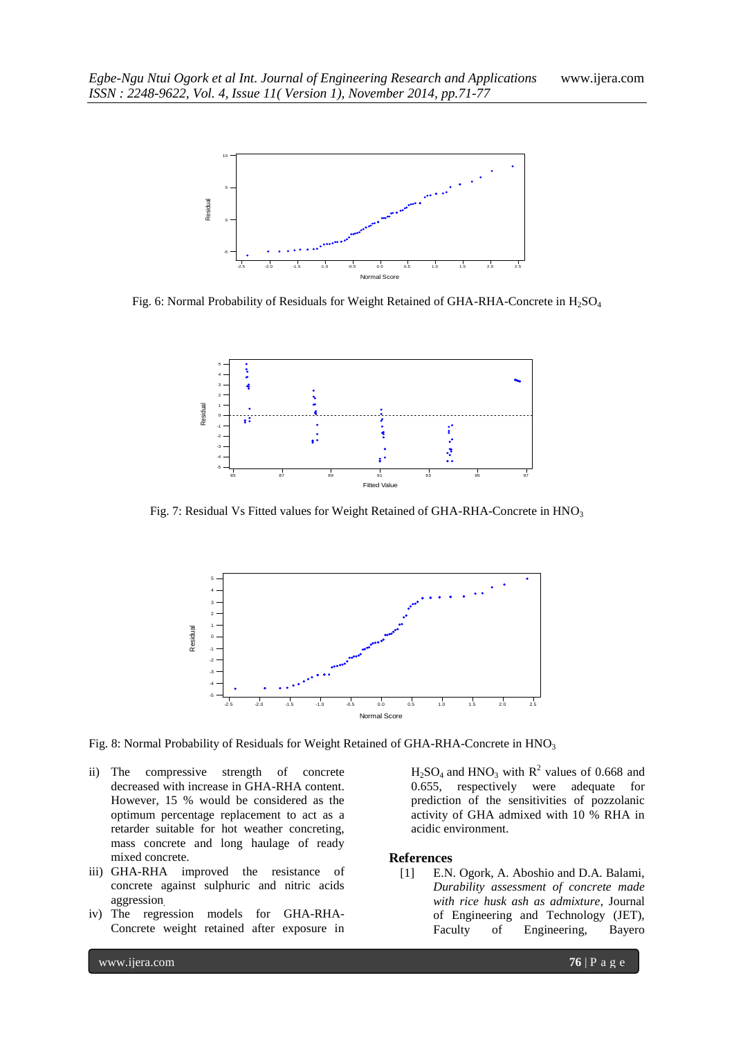

Fig. 6: Normal Probability of Residuals for Weight Retained of GHA-RHA-Concrete in H<sub>2</sub>SO<sub>4</sub>



Fig. 7: Residual Vs Fitted values for Weight Retained of GHA-RHA-Concrete in  $HNO<sub>3</sub>$ 



Fig. 8: Normal Probability of Residuals for Weight Retained of GHA-RHA-Concrete in HNO<sub>3</sub>

- ii) The compressive strength of concrete decreased with increase in GHA-RHA content. However, 15 % would be considered as the optimum percentage replacement to act as a retarder suitable for hot weather concreting, mass concrete and long haulage of ready mixed concrete.
- iii) GHA-RHA improved the resistance of concrete against sulphuric and nitric acids aggression.
- iv) The regression models for GHA-RHA-Concrete weight retained after exposure in

 $H<sub>2</sub>SO<sub>4</sub>$  and  $HNO<sub>3</sub>$  with  $R<sup>2</sup>$  values of 0.668 and 0.655, respectively were adequate for prediction of the sensitivities of pozzolanic activity of GHA admixed with 10 % RHA in acidic environment.

#### **References**

[1] E.N. Ogork, A. Aboshio and D.A. Balami, *Durability assessment of concrete made with rice husk ash as admixture*, Journal of Engineering and Technology (JET), Faculty of Engineering, Bayero